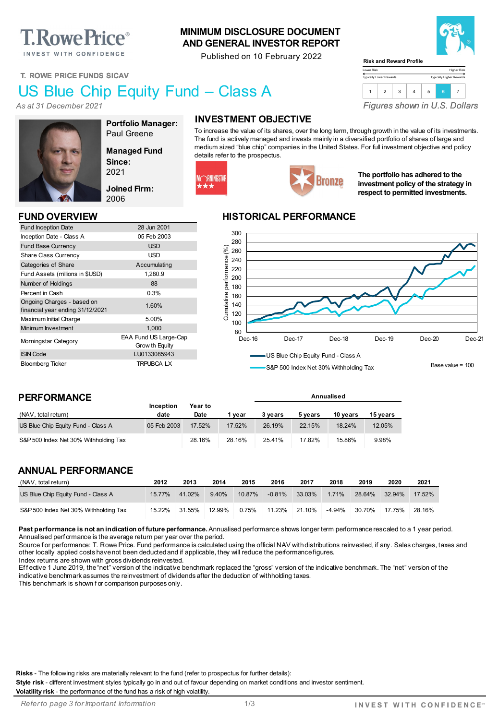# **T. Rowe Price**®

INVEST WITH CONFIDENCE

#### **MINIMUM DISCLOSURE DOCUMENT AND GENERAL INVESTOR REPORT**

Published on 10 February 2022



Higher Risk Typically Higher Rewards

**T. ROWE PRICE FUNDS SICAV**

## US Blue Chip Equity Fund – Class A

*As at 31 December 2021*



**Portfolio Manager:** Paul Greene

**Managed Fund Since:** 2021

**Joined Firm:** 2006

Grow th Equity

Fund Inception Date 28 Jun 2001 Inception Date - Class A 05 Feb 2003 Fund Base Currency **Example 20 SO SOLUS** Share Class Currency **USD** Categories of Share Accumulating Fund Assets (millions in \$USD) 1,280.9 Number of Holdings 88 Percent in Cash 0.3%

Ungoing Charges - based on<br>
financial year ending 31/12/2021 Maximum Initial Charge 5.00% Minimum Investment 1,000 Morningstar Category EAA Fund US Large-Cap

ISIN Code LU0133085943 Bloomberg Ticker TRPUBCA LX

### **INVESTMENT OBJECTIVE**

To increase the value of its shares, over the long term, through growth in the value of its investments. The fund is actively managed and invests mainly in a diversified portfolio of shares of large and medium sized "blue chip" companies in the United States. For full investment objective and policy details refer to the prospectus.

Lower Risk Typically Lower Rewards

**Risk and Reward Profile**



# Bronze

**The portfolio has adhered to the investment policy of the strategy in respect to permitted investments.**

*Figures shown in U.S. Dollars*

1 2 3 4 5 **6** 7

#### **FUND OVERVIEW HISTORICAL PERFORMANCE**



S&P 500 Index Net 30% Withholding Tax

**Annualised**

Base value = 100

#### **PERFORMANCE**

Ongoing Charges - based on

|                                       | <b>Inception</b> | Year to |        |         |         |          |          |
|---------------------------------------|------------------|---------|--------|---------|---------|----------|----------|
| (NAV, total return)                   | date             | Date    | vear   | 3 vears | 5 vears | 10 vears | 15 vears |
| US Blue Chip Equity Fund - Class A    | 05 Feb 2003      | 17.52%  | 17.52% | 26.19%  | 22.15%  | 18.24%   | 12.05%   |
| S&P 500 Index Net 30% Withholding Tax |                  | 28.16%  | 28.16% | 25.41%  | 17.82%  | 15.86%   | 9.98%    |

#### **ANNUAL PERFORMANCE**

| (NAV, total return)                   | 2012   | 2013   | 2014   | 2015   | 2016     | 2017   | 2018   | 2019   | 2020   | 2021      |
|---------------------------------------|--------|--------|--------|--------|----------|--------|--------|--------|--------|-----------|
| US Blue Chip Equity Fund - Class A    | 15.77% | 41.02% | 9.40%  | 10.87% | $-0.81%$ | 33.03% | 1.71%  | 28.64% | 32.94% | $17.52\%$ |
| S&P 500 Index Net 30% Withholding Tax | 15.22% | 31.55% | 12.99% | 0.75%  | 11.23%   | 21.10% | -4.94% | 30.70% | 17.75% | 28.16%    |

Past performance is not an indication of future performance. Annualised performance shows longer term performance rescaled to a 1 year period. Annualised perf ormance is the average return per year over the period.

Source for performance: T. Rowe Price. Fund performance is calculated using the official NAV with distributions reinvested, if any. Sales charges, taxes and other locally applied costs have not been deducted and if applicable, they will reduce the performance figures.

Index returns are shown with gross dividends reinvested.

Effective 1 June 2019, the "net" version of the indicative benchmark replaced the "gross" version of the indicative benchmark. The "net" version of the indicative benchmark assumes the reinvestment of dividends after the deduction of withholding taxes.

This benchmark is shown f or comparison purposes only.

**Risks** - The following risks are materially relevant to the fund (refer to prospectus for further details):

**Style risk** - different investment styles typically go in and out of favour depending on market conditions and investor sentiment.

**Volatility risk** - the performance of the fund has a risk of high volatility.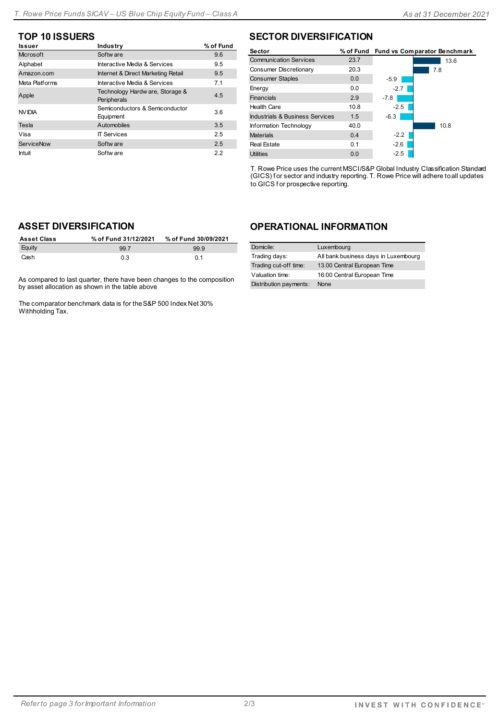| <b>Issuer</b>     | Industry                                       | % of Fund |
|-------------------|------------------------------------------------|-----------|
| Microsoft         | Softw are                                      | 9.6       |
| Alphabet          | Interactive Media & Services                   | 9.5       |
| Amazon.com        | Internet & Direct Marketing Retail             | 9.5       |
| Meta Platforms    | Interactive Media & Services                   | 7.1       |
| Apple             | Technology Hardw are, Storage &<br>Peripherals | 4.5       |
| <b>NVIDIA</b>     | Semiconductors & Semiconductor<br>Equipment    | 3.6       |
| Tesla             | Automobiles                                    | 3.5       |
| Visa              | <b>IT Services</b>                             | 2.5       |
| <b>ServiceNow</b> | Softw are                                      | 2.5       |
| Intuit            | Softw are                                      | 2.2       |

#### **TOP 10 ISSUERS SECTOR DIVERSIFICATION**

| Sector                          |      |        | % of Fund Fund vs Comparator Benchmark |
|---------------------------------|------|--------|----------------------------------------|
| <b>Communication Services</b>   | 23.7 |        | 13.6                                   |
| Consumer Discretionary          | 20.3 |        | 7.8                                    |
| <b>Consumer Staples</b>         | 0.0  | $-5.9$ |                                        |
| Energy                          | 0.0  | $-2.7$ |                                        |
| Financials                      | 2.9  | $-7.8$ |                                        |
| <b>Health Care</b>              | 10.8 | $-2.5$ |                                        |
| Industrials & Business Services | 1.5  | $-6.3$ |                                        |
| Information Technology          | 40.0 |        | 10.8                                   |
| <b>Materials</b>                | 0.4  | $-2.2$ |                                        |
| Real Estate                     | 0.1  | $-2.6$ |                                        |
| <b>Utilities</b>                | 0.0  | $-2.5$ |                                        |

T. Rowe Price uses the current MSCI/S&P Global Industry Classification Standard (GICS) f or sector and industry reporting. T. Rowe Price will adhere to all updates to GICS f or prospective reporting.

#### **ASSET DIVERSIFICATION**

| <b>Asset Class</b> | % of Fund 31/12/2021 | % of Fund 30/09/2021 |
|--------------------|----------------------|----------------------|
| Equity             | 99.7                 | 999                  |
| Cash               | 0.3                  | 0 <sub>1</sub>       |

As compared to last quarter, there have been changes to the composition by asset allocation as shown in the table above

The comparator benchmark data is for the S&P 500 Index Net 30% Withholding Tax.

#### **OPERATIONAL INFORMATION**

| Domicile:              | Luxembourg                           |
|------------------------|--------------------------------------|
| Trading days:          | All bank business days in Luxembourg |
| Trading cut-off time:  | 13.00 Central European Time          |
| Valuation time:        | 16:00 Central European Time          |
| Distribution payments: | None                                 |